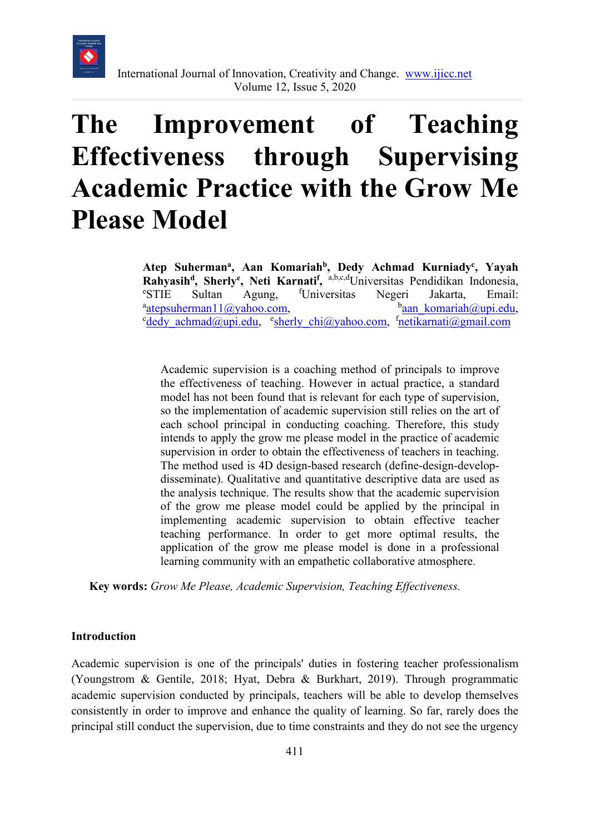

# **The Improvement of Teaching Effectiveness through Supervising Academic Practice with the Grow Me Please Model**

**Atep Suhermana, Aan Komariahb, Dedy Achmad Kurniadyc , Yayah Rahyasih<sup>d</sup>, Sherly<sup>e</sup>, Neti Karnati<sup>f</sup>, <sup>a,b,c,d</sup>Universitas Pendidikan Indonesia, external extendional extension of the Sultan Agung fluorescates Negeri Islanta Email:** <sup>e</sup>STIE Sultan Agung, <sup>f</sup>Universitas <sup>e</sup>STIE Sultan Agung, <sup>f</sup>Universitas Negeri Jakarta, Email: <sup>a</sup>[atepsuherman11@yahoo.com,](mailto:atepsuherman11@yahoo.com) ban<sup>a</sup>han komariah@upi.edu,  $<sup>b</sup>$ aan komariah@upi.edu,</sup> <sup>c</sup>[dedy\\_achmad@upi.edu,](mailto:dedy_achmad@upi.edu) cherly\_chi@yahoo.com, f[netikarnati@gmail.com](mailto:netikarnati@gmail.com)

Academic supervision is a coaching method of principals to improve the effectiveness of teaching. However in actual practice, a standard model has not been found that is relevant for each type of supervision, so the implementation of academic supervision still relies on the art of each school principal in conducting coaching. Therefore, this study intends to apply the grow me please model in the practice of academic supervision in order to obtain the effectiveness of teachers in teaching. The method used is 4D design-based research (define-design-developdisseminate). Qualitative and quantitative descriptive data are used as the analysis technique. The results show that the academic supervision of the grow me please model could be applied by the principal in implementing academic supervision to obtain effective teacher teaching performance. In order to get more optimal results, the application of the grow me please model is done in a professional learning community with an empathetic collaborative atmosphere.

**Key words:** *Grow Me Please, Academic Supervision, Teaching Effectiveness.*

# **Introduction**

Academic supervision is one of the principals' duties in fostering teacher professionalism (Youngstrom & Gentile, 2018; Hyat, Debra & Burkhart, 2019). Through programmatic academic supervision conducted by principals, teachers will be able to develop themselves consistently in order to improve and enhance the quality of learning. So far, rarely does the principal still conduct the supervision, due to time constraints and they do not see the urgency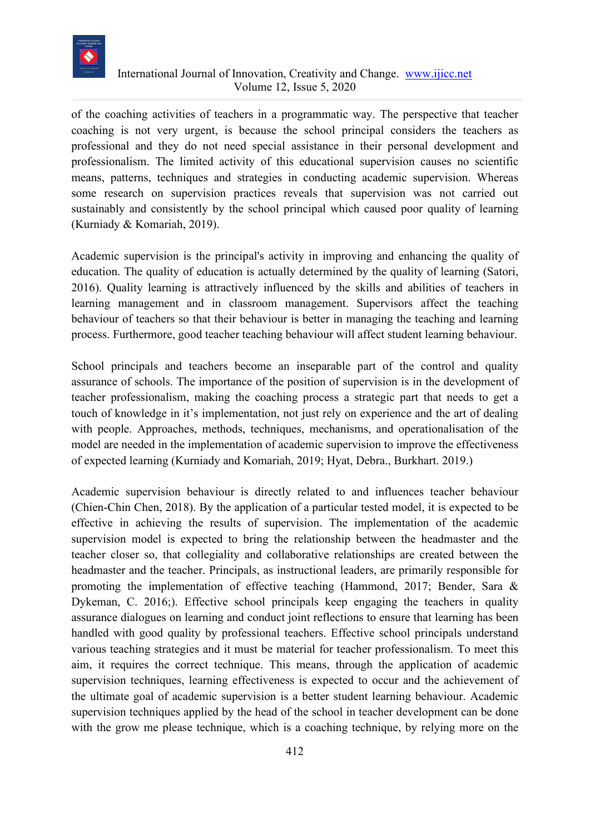

of the coaching activities of teachers in a programmatic way. The perspective that teacher coaching is not very urgent, is because the school principal considers the teachers as professional and they do not need special assistance in their personal development and professionalism. The limited activity of this educational supervision causes no scientific means, patterns, techniques and strategies in conducting academic supervision. Whereas some research on supervision practices reveals that supervision was not carried out sustainably and consistently by the school principal which caused poor quality of learning (Kurniady & Komariah, 2019).

Academic supervision is the principal's activity in improving and enhancing the quality of education. The quality of education is actually determined by the quality of learning (Satori, 2016). Quality learning is attractively influenced by the skills and abilities of teachers in learning management and in classroom management. Supervisors affect the teaching behaviour of teachers so that their behaviour is better in managing the teaching and learning process. Furthermore, good teacher teaching behaviour will affect student learning behaviour.

School principals and teachers become an inseparable part of the control and quality assurance of schools. The importance of the position of supervision is in the development of teacher professionalism, making the coaching process a strategic part that needs to get a touch of knowledge in it's implementation, not just rely on experience and the art of dealing with people. Approaches, methods, techniques, mechanisms, and operationalisation of the model are needed in the implementation of academic supervision to improve the effectiveness of expected learning (Kurniady and Komariah, 2019; Hyat, Debra., Burkhart. 2019.)

Academic supervision behaviour is directly related to and influences teacher behaviour (Chien-Chin Chen, 2018). By the application of a particular tested model, it is expected to be effective in achieving the results of supervision. The implementation of the academic supervision model is expected to bring the relationship between the headmaster and the teacher closer so, that collegiality and collaborative relationships are created between the headmaster and the teacher. Principals, as instructional leaders, are primarily responsible for promoting the implementation of effective teaching (Hammond, 2017; Bender, Sara & Dykeman, C. 2016;). Effective school principals keep engaging the teachers in quality assurance dialogues on learning and conduct joint reflections to ensure that learning has been handled with good quality by professional teachers. Effective school principals understand various teaching strategies and it must be material for teacher professionalism. To meet this aim, it requires the correct technique. This means, through the application of academic supervision techniques, learning effectiveness is expected to occur and the achievement of the ultimate goal of academic supervision is a better student learning behaviour. Academic supervision techniques applied by the head of the school in teacher development can be done with the grow me please technique, which is a coaching technique, by relying more on the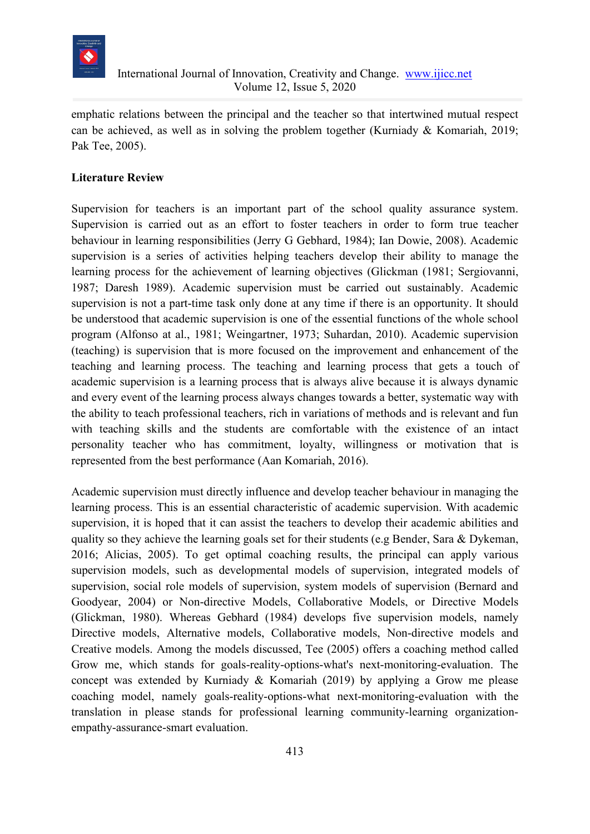

emphatic relations between the principal and the teacher so that intertwined mutual respect can be achieved, as well as in solving the problem together (Kurniady & Komariah, 2019; Pak Tee, 2005).

# **Literature Review**

Supervision for teachers is an important part of the school quality assurance system. Supervision is carried out as an effort to foster teachers in order to form true teacher behaviour in learning responsibilities (Jerry G Gebhard, 1984); Ian Dowie, 2008). Academic supervision is a series of activities helping teachers develop their ability to manage the learning process for the achievement of learning objectives (Glickman (1981; Sergiovanni, 1987; Daresh 1989). Academic supervision must be carried out sustainably. Academic supervision is not a part-time task only done at any time if there is an opportunity. It should be understood that academic supervision is one of the essential functions of the whole school program (Alfonso at al., 1981; Weingartner, 1973; Suhardan, 2010). Academic supervision (teaching) is supervision that is more focused on the improvement and enhancement of the teaching and learning process. The teaching and learning process that gets a touch of academic supervision is a learning process that is always alive because it is always dynamic and every event of the learning process always changes towards a better, systematic way with the ability to teach professional teachers, rich in variations of methods and is relevant and fun with teaching skills and the students are comfortable with the existence of an intact personality teacher who has commitment, loyalty, willingness or motivation that is represented from the best performance (Aan Komariah, 2016).

Academic supervision must directly influence and develop teacher behaviour in managing the learning process. This is an essential characteristic of academic supervision. With academic supervision, it is hoped that it can assist the teachers to develop their academic abilities and quality so they achieve the learning goals set for their students (e.g Bender, Sara & Dykeman, 2016; Alicias, 2005). To get optimal coaching results, the principal can apply various supervision models, such as developmental models of supervision, integrated models of supervision, social role models of supervision, system models of supervision (Bernard and Goodyear, 2004) or Non-directive Models, Collaborative Models, or Directive Models (Glickman, 1980). Whereas Gebhard (1984) develops five supervision models, namely Directive models, Alternative models, Collaborative models, Non-directive models and Creative models. Among the models discussed, Tee (2005) offers a coaching method called Grow me, which stands for goals-reality-options-what's next-monitoring-evaluation. The concept was extended by Kurniady & Komariah (2019) by applying a Grow me please coaching model, namely goals-reality-options-what next-monitoring-evaluation with the translation in please stands for professional learning community-learning organizationempathy-assurance-smart evaluation.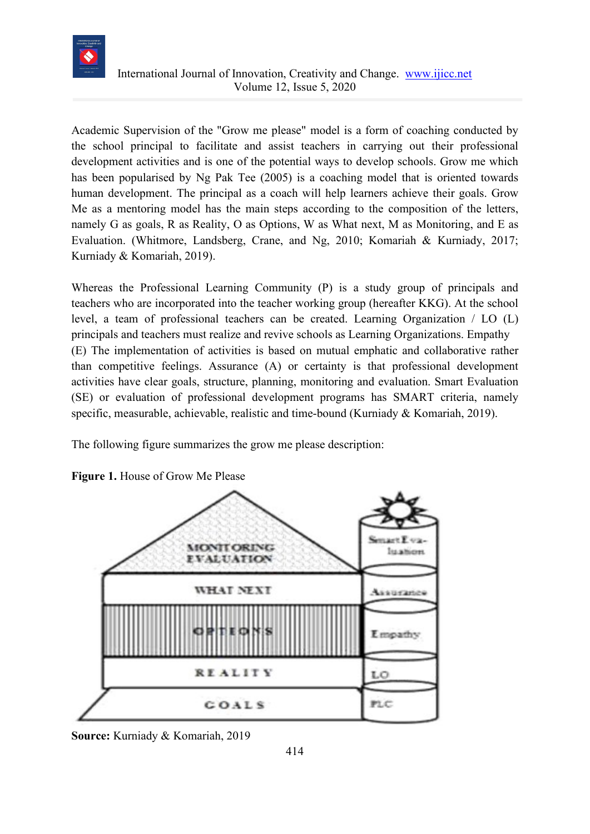

Academic Supervision of the "Grow me please" model is a form of coaching conducted by the school principal to facilitate and assist teachers in carrying out their professional development activities and is one of the potential ways to develop schools. Grow me which has been popularised by Ng Pak Tee (2005) is a coaching model that is oriented towards human development. The principal as a coach will help learners achieve their goals. Grow Me as a mentoring model has the main steps according to the composition of the letters, namely G as goals, R as Reality, O as Options, W as What next, M as Monitoring, and E as Evaluation. (Whitmore, Landsberg, Crane, and Ng, 2010; Komariah & Kurniady, 2017; Kurniady & Komariah, 2019).

Whereas the Professional Learning Community (P) is a study group of principals and teachers who are incorporated into the teacher working group (hereafter KKG). At the school level, a team of professional teachers can be created. Learning Organization / LO (L) principals and teachers must realize and revive schools as Learning Organizations. Empathy (E) The implementation of activities is based on mutual emphatic and collaborative rather than competitive feelings. Assurance (A) or certainty is that professional development activities have clear goals, structure, planning, monitoring and evaluation. Smart Evaluation (SE) or evaluation of professional development programs has SMART criteria, namely specific, measurable, achievable, realistic and time-bound (Kurniady & Komariah, 2019).

The following figure summarizes the grow me please description:



**Figure 1.** House of Grow Me Please

**Source:** Kurniady & Komariah, 2019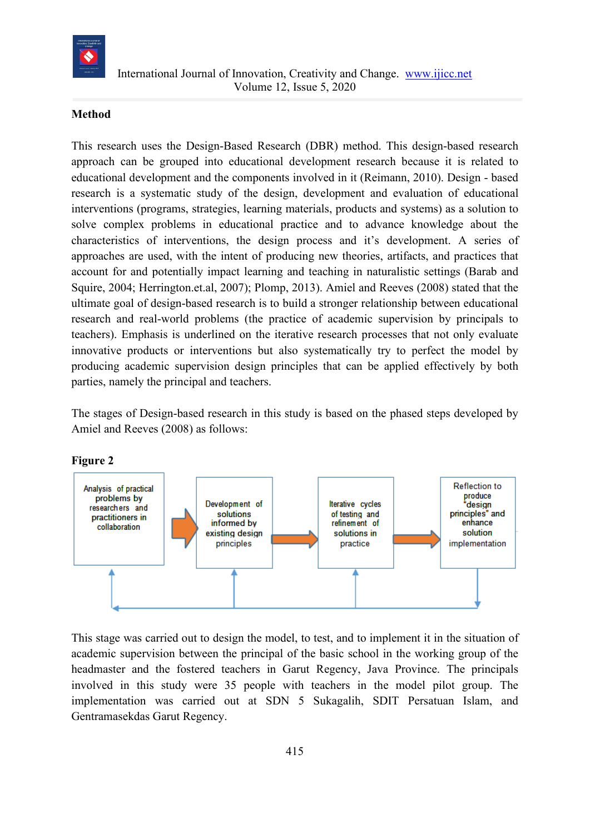

### **Method**

This research uses the Design-Based Research (DBR) method. This design-based research approach can be grouped into educational development research because it is related to educational development and the components involved in it (Reimann, 2010). Design - based research is a systematic study of the design, development and evaluation of educational interventions (programs, strategies, learning materials, products and systems) as a solution to solve complex problems in educational practice and to advance knowledge about the characteristics of interventions, the design process and it's development. A series of approaches are used, with the intent of producing new theories, artifacts, and practices that account for and potentially impact learning and teaching in naturalistic settings (Barab and Squire, 2004; Herrington.et.al, 2007); Plomp, 2013). Amiel and Reeves (2008) stated that the ultimate goal of design-based research is to build a stronger relationship between educational research and real-world problems (the practice of academic supervision by principals to teachers). Emphasis is underlined on the iterative research processes that not only evaluate innovative products or interventions but also systematically try to perfect the model by producing academic supervision design principles that can be applied effectively by both parties, namely the principal and teachers.

The stages of Design-based research in this study is based on the phased steps developed by Amiel and Reeves (2008) as follows:



**Figure 2**

This stage was carried out to design the model, to test, and to implement it in the situation of academic supervision between the principal of the basic school in the working group of the headmaster and the fostered teachers in Garut Regency, Java Province. The principals involved in this study were 35 people with teachers in the model pilot group. The implementation was carried out at SDN 5 Sukagalih, SDIT Persatuan Islam, and Gentramasekdas Garut Regency.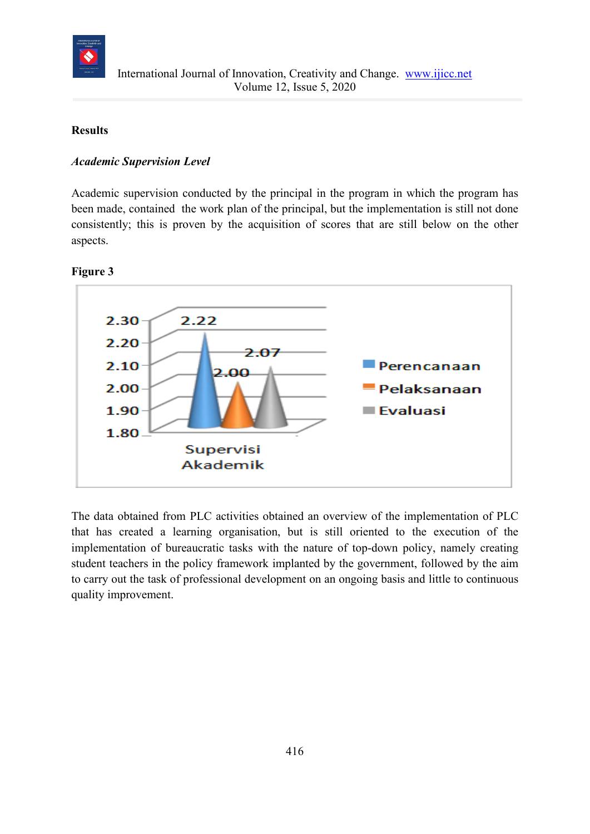

# **Results**

### *Academic Supervision Level*

Academic supervision conducted by the principal in the program in which the program has been made, contained the work plan of the principal, but the implementation is still not done consistently; this is proven by the acquisition of scores that are still below on the other aspects.

#### **Figure 3**



The data obtained from PLC activities obtained an overview of the implementation of PLC that has created a learning organisation, but is still oriented to the execution of the implementation of bureaucratic tasks with the nature of top-down policy, namely creating student teachers in the policy framework implanted by the government, followed by the aim to carry out the task of professional development on an ongoing basis and little to continuous quality improvement.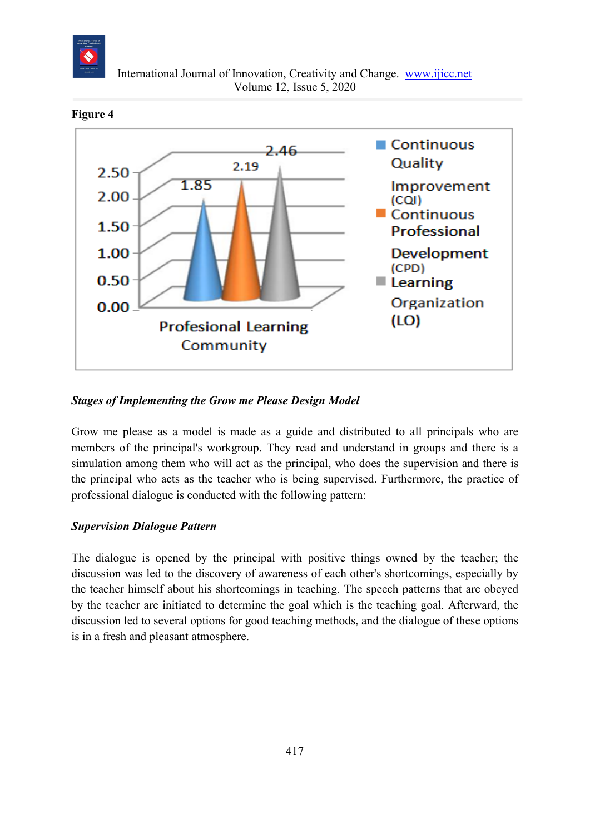



**Figure 4**

# *Stages of Implementing the Grow me Please Design Model*

Grow me please as a model is made as a guide and distributed to all principals who are members of the principal's workgroup. They read and understand in groups and there is a simulation among them who will act as the principal, who does the supervision and there is the principal who acts as the teacher who is being supervised. Furthermore, the practice of professional dialogue is conducted with the following pattern:

# *Supervision Dialogue Pattern*

The dialogue is opened by the principal with positive things owned by the teacher; the discussion was led to the discovery of awareness of each other's shortcomings, especially by the teacher himself about his shortcomings in teaching. The speech patterns that are obeyed by the teacher are initiated to determine the goal which is the teaching goal. Afterward, the discussion led to several options for good teaching methods, and the dialogue of these options is in a fresh and pleasant atmosphere.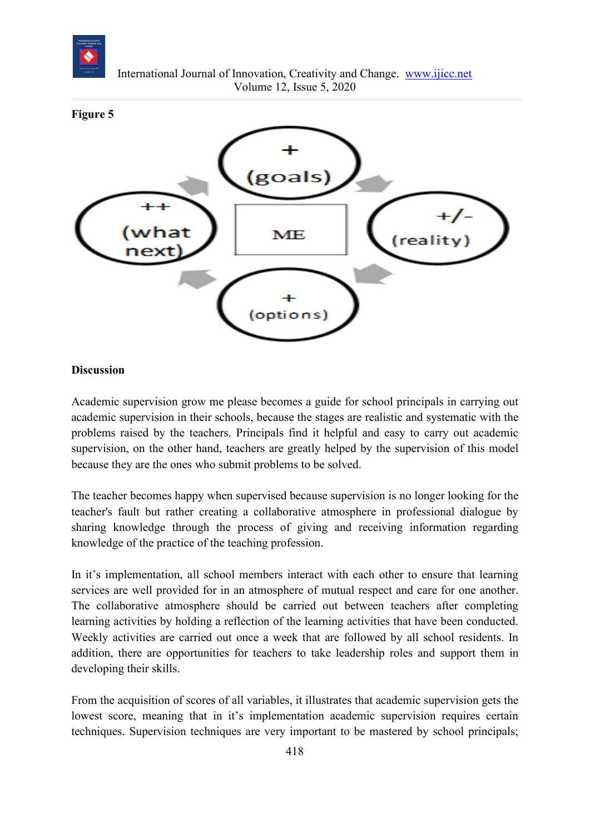



#### **Discussion**

Academic supervision grow me please becomes a guide for school principals in carrying out academic supervision in their schools, because the stages are realistic and systematic with the problems raised by the teachers. Principals find it helpful and easy to carry out academic supervision, on the other hand, teachers are greatly helped by the supervision of this model because they are the ones who submit problems to be solved.

The teacher becomes happy when supervised because supervision is no longer looking for the teacher's fault but rather creating a collaborative atmosphere in professional dialogue by sharing knowledge through the process of giving and receiving information regarding knowledge of the practice of the teaching profession.

In it's implementation, all school members interact with each other to ensure that learning services are well provided for in an atmosphere of mutual respect and care for one another. The collaborative atmosphere should be carried out between teachers after completing learning activities by holding a reflection of the learning activities that have been conducted. Weekly activities are carried out once a week that are followed by all school residents. In addition, there are opportunities for teachers to take leadership roles and support them in developing their skills.

From the acquisition of scores of all variables, it illustrates that academic supervision gets the lowest score, meaning that in it's implementation academic supervision requires certain techniques. Supervision techniques are very important to be mastered by school principals;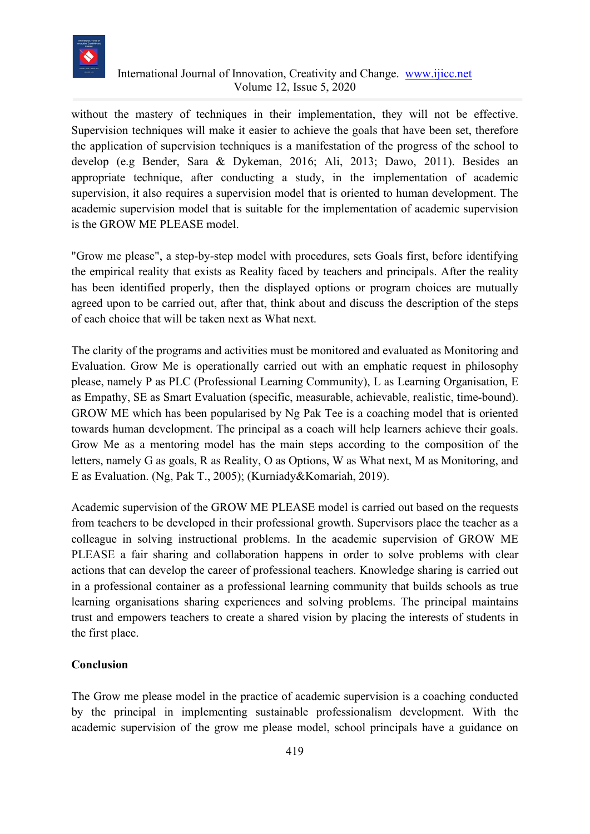

without the mastery of techniques in their implementation, they will not be effective. Supervision techniques will make it easier to achieve the goals that have been set, therefore the application of supervision techniques is a manifestation of the progress of the school to develop (e.g Bender, Sara & Dykeman, 2016; Ali, 2013; Dawo, 2011). Besides an appropriate technique, after conducting a study, in the implementation of academic supervision, it also requires a supervision model that is oriented to human development. The academic supervision model that is suitable for the implementation of academic supervision is the GROW ME PLEASE model.

"Grow me please", a step-by-step model with procedures, sets Goals first, before identifying the empirical reality that exists as Reality faced by teachers and principals. After the reality has been identified properly, then the displayed options or program choices are mutually agreed upon to be carried out, after that, think about and discuss the description of the steps of each choice that will be taken next as What next.

The clarity of the programs and activities must be monitored and evaluated as Monitoring and Evaluation. Grow Me is operationally carried out with an emphatic request in philosophy please, namely P as PLC (Professional Learning Community), L as Learning Organisation, E as Empathy, SE as Smart Evaluation (specific, measurable, achievable, realistic, time-bound). GROW ME which has been popularised by Ng Pak Tee is a coaching model that is oriented towards human development. The principal as a coach will help learners achieve their goals. Grow Me as a mentoring model has the main steps according to the composition of the letters, namely G as goals, R as Reality, O as Options, W as What next, M as Monitoring, and E as Evaluation. (Ng, Pak T., 2005); (Kurniady&Komariah, 2019).

Academic supervision of the GROW ME PLEASE model is carried out based on the requests from teachers to be developed in their professional growth. Supervisors place the teacher as a colleague in solving instructional problems. In the academic supervision of GROW ME PLEASE a fair sharing and collaboration happens in order to solve problems with clear actions that can develop the career of professional teachers. Knowledge sharing is carried out in a professional container as a professional learning community that builds schools as true learning organisations sharing experiences and solving problems. The principal maintains trust and empowers teachers to create a shared vision by placing the interests of students in the first place.

# **Conclusion**

The Grow me please model in the practice of academic supervision is a coaching conducted by the principal in implementing sustainable professionalism development. With the academic supervision of the grow me please model, school principals have a guidance on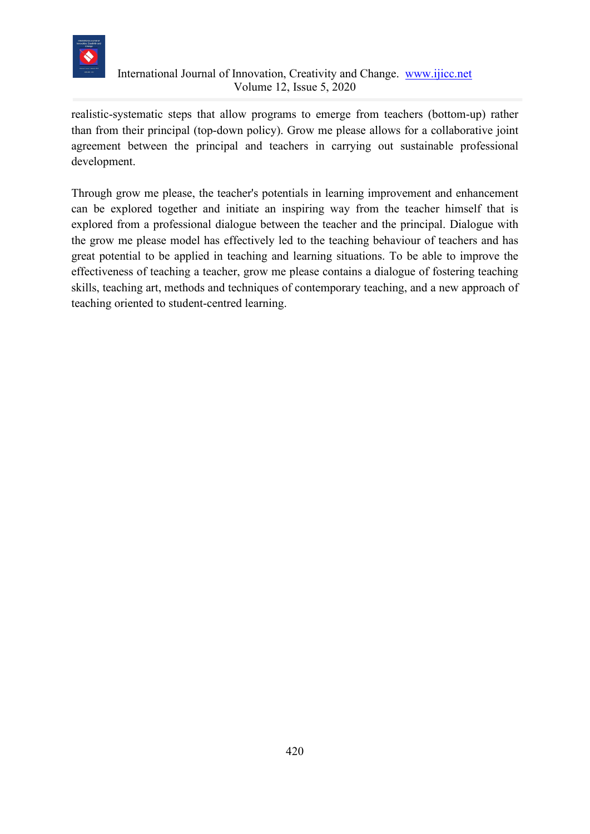

realistic-systematic steps that allow programs to emerge from teachers (bottom-up) rather than from their principal (top-down policy). Grow me please allows for a collaborative joint agreement between the principal and teachers in carrying out sustainable professional development.

Through grow me please, the teacher's potentials in learning improvement and enhancement can be explored together and initiate an inspiring way from the teacher himself that is explored from a professional dialogue between the teacher and the principal. Dialogue with the grow me please model has effectively led to the teaching behaviour of teachers and has great potential to be applied in teaching and learning situations. To be able to improve the effectiveness of teaching a teacher, grow me please contains a dialogue of fostering teaching skills, teaching art, methods and techniques of contemporary teaching, and a new approach of teaching oriented to student-centred learning.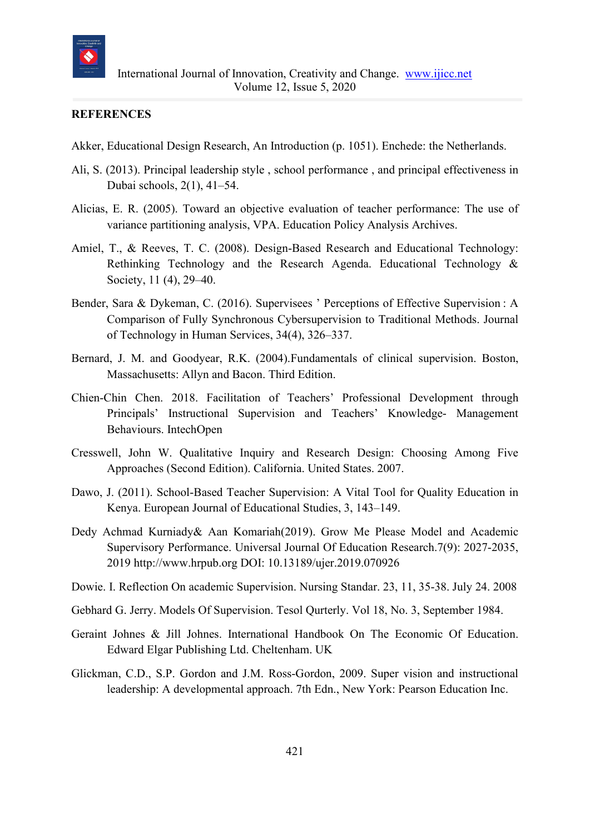

#### **REFERENCES**

- Akker, Educational Design Research, An Introduction (p. 1051). Enchede: the Netherlands.
- Ali, S. (2013). Principal leadership style , school performance , and principal effectiveness in Dubai schools, 2(1), 41–54.
- Alicias, E. R. (2005). Toward an objective evaluation of teacher performance: The use of variance partitioning analysis, VPA. Education Policy Analysis Archives.
- Amiel, T., & Reeves, T. C. (2008). Design-Based Research and Educational Technology: Rethinking Technology and the Research Agenda. Educational Technology & Society, 11 (4), 29–40.
- Bender, Sara & Dykeman, C. (2016). Supervisees ' Perceptions of Effective Supervision : A Comparison of Fully Synchronous Cybersupervision to Traditional Methods. Journal of Technology in Human Services, 34(4), 326–337.
- Bernard, J. M. and Goodyear, R.K. (2004).Fundamentals of clinical supervision. Boston, Massachusetts: Allyn and Bacon. Third Edition.
- Chien-Chin Chen. 2018. Facilitation of Teachers' Professional Development through Principals' Instructional Supervision and Teachers' Knowledge- Management Behaviours. IntechOpen
- Cresswell, John W. Qualitative Inquiry and Research Design: Choosing Among Five Approaches (Second Edition). California. United States. 2007.
- Dawo, J. (2011). School-Based Teacher Supervision: A Vital Tool for Quality Education in Kenya. European Journal of Educational Studies, 3, 143–149.
- Dedy Achmad Kurniady& Aan Komariah(2019). Grow Me Please Model and Academic Supervisory Performance. Universal Journal Of Education Research.7(9): 2027-2035, 2019 http://www.hrpub.org DOI: 10.13189/ujer.2019.070926
- Dowie. I. Reflection On academic Supervision. Nursing Standar. 23, 11, 35-38. July 24. 2008
- Gebhard G. Jerry. Models Of Supervision. Tesol Qurterly. Vol 18, No. 3, September 1984.
- Geraint Johnes & Jill Johnes. International Handbook On The Economic Of Education. Edward Elgar Publishing Ltd. Cheltenham. UK
- Glickman, C.D., S.P. Gordon and J.M. Ross-Gordon, 2009. Super vision and instructional leadership: A developmental approach. 7th Edn., New York: Pearson Education Inc.